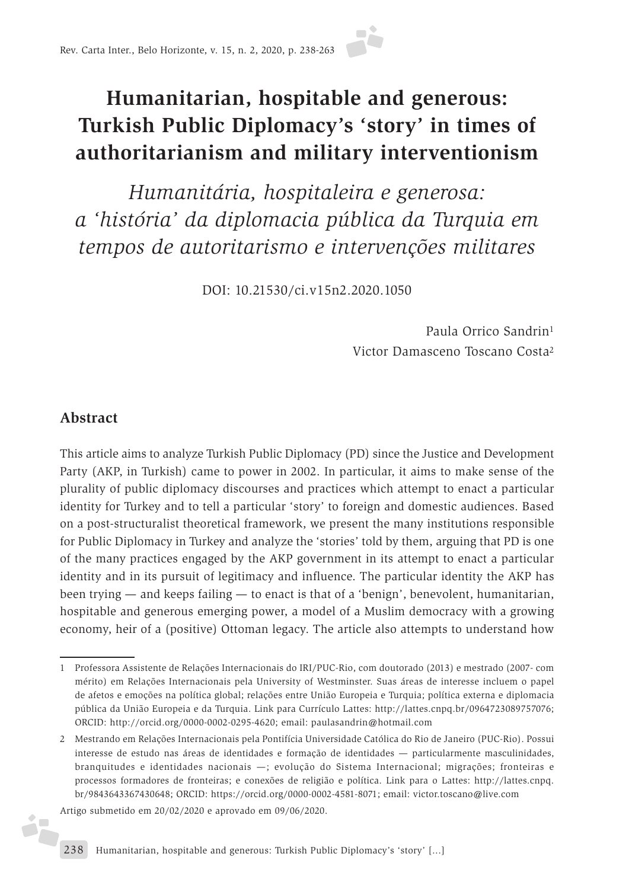# **Humanitarian, hospitable and generous: Turkish Public Diplomacy's 'story' in times of authoritarianism and military interventionism**

*Humanitária, hospitaleira e generosa: a 'história' da diplomacia pública da Turquia em tempos de autoritarismo e intervenções militares*

DOI: 10.21530/ci.v15n2.2020.1050

Paula Orrico Sandrin1 Victor Damasceno Toscano Costa2

#### **Abstract**

é.

This article aims to analyze Turkish Public Diplomacy (PD) since the Justice and Development Party (AKP, in Turkish) came to power in 2002. In particular, it aims to make sense of the plurality of public diplomacy discourses and practices which attempt to enact a particular identity for Turkey and to tell a particular 'story' to foreign and domestic audiences. Based on a post-structuralist theoretical framework, we present the many institutions responsible for Public Diplomacy in Turkey and analyze the 'stories' told by them, arguing that PD is one of the many practices engaged by the AKP government in its attempt to enact a particular identity and in its pursuit of legitimacy and influence. The particular identity the AKP has been trying — and keeps failing — to enact is that of a 'benign', benevolent, humanitarian, hospitable and generous emerging power, a model of a Muslim democracy with a growing economy, heir of a (positive) Ottoman legacy. The article also attempts to understand how

Artigo submetido em 20/02/2020 e aprovado em 09/06/2020.

<sup>1</sup> Professora Assistente de Relações Internacionais do IRI/PUC-Rio, com doutorado (2013) e mestrado (2007- com mérito) em Relações Internacionais pela University of Westminster. Suas áreas de interesse incluem o papel de afetos e emoções na política global; relações entre União Europeia e Turquia; política externa e diplomacia pública da União Europeia e da Turquia. Link para Currículo Lattes: http://lattes.cnpq.br/0964723089757076; ORCID: http://orcid.org/0000-0002-0295-4620; email: paulasandrin@hotmail.com

<sup>2</sup> Mestrando em Relações Internacionais pela Pontifícia Universidade Católica do Rio de Janeiro (PUC-Rio). Possui interesse de estudo nas áreas de identidades e formação de identidades — particularmente masculinidades, branquitudes e identidades nacionais —; evolução do Sistema Internacional; migrações; fronteiras e processos formadores de fronteiras; e conexões de religião e política. Link para o Lattes: http://lattes.cnpq. br/9843643367430648; ORCID: https://orcid.org/0000-0002-4581-8071; email: victor.toscano@live.com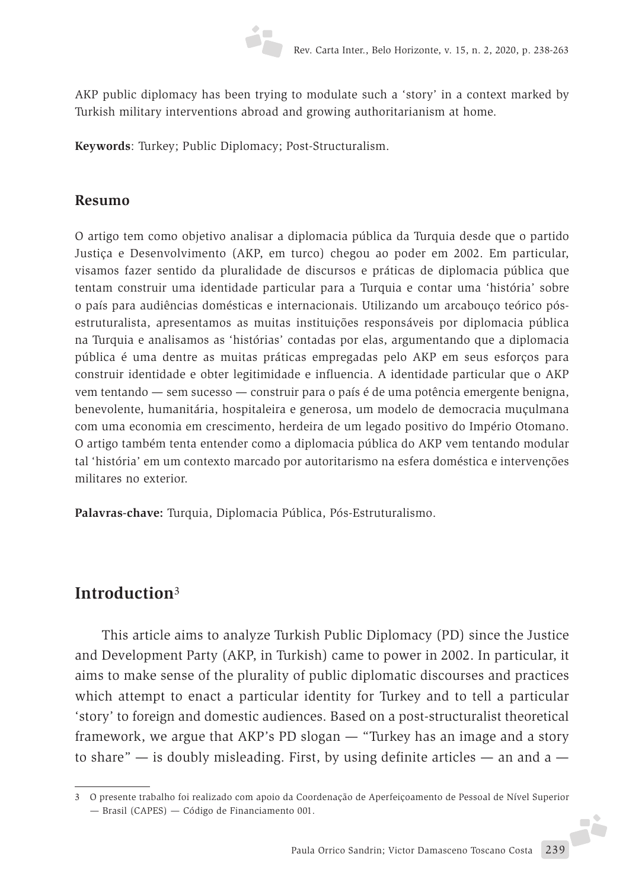

AKP public diplomacy has been trying to modulate such a 'story' in a context marked by Turkish military interventions abroad and growing authoritarianism at home.

**Keywords**: Turkey; Public Diplomacy; Post-Structuralism.

#### **Resumo**

O artigo tem como objetivo analisar a diplomacia pública da Turquia desde que o partido Justiça e Desenvolvimento (AKP, em turco) chegou ao poder em 2002. Em particular, visamos fazer sentido da pluralidade de discursos e práticas de diplomacia pública que tentam construir uma identidade particular para a Turquia e contar uma 'história' sobre o país para audiências domésticas e internacionais. Utilizando um arcabouço teórico pósestruturalista, apresentamos as muitas instituições responsáveis por diplomacia pública na Turquia e analisamos as 'histórias' contadas por elas, argumentando que a diplomacia pública é uma dentre as muitas práticas empregadas pelo AKP em seus esforços para construir identidade e obter legitimidade e influencia. A identidade particular que o AKP vem tentando — sem sucesso — construir para o país é de uma potência emergente benigna, benevolente, humanitária, hospitaleira e generosa, um modelo de democracia muçulmana com uma economia em crescimento, herdeira de um legado positivo do Império Otomano. O artigo também tenta entender como a diplomacia pública do AKP vem tentando modular tal 'história' em um contexto marcado por autoritarismo na esfera doméstica e intervenções militares no exterior.

**Palavras-chave:** Turquia, Diplomacia Pública, Pós-Estruturalismo.

#### **Introduction**<sup>3</sup>

This article aims to analyze Turkish Public Diplomacy (PD) since the Justice and Development Party (AKP, in Turkish) came to power in 2002. In particular, it aims to make sense of the plurality of public diplomatic discourses and practices which attempt to enact a particular identity for Turkey and to tell a particular 'story' to foreign and domestic audiences. Based on a post-structuralist theoretical framework, we argue that AKP's PD slogan — "Turkey has an image and a story to share"  $-$  is doubly misleading. First, by using definite articles  $-$  an and a  $-$ 

<sup>3</sup> O presente trabalho foi realizado com apoio da Coordenação de Aperfeiçoamento de Pessoal de Nível Superior — Brasil (CAPES) — Código de Financiamento 001.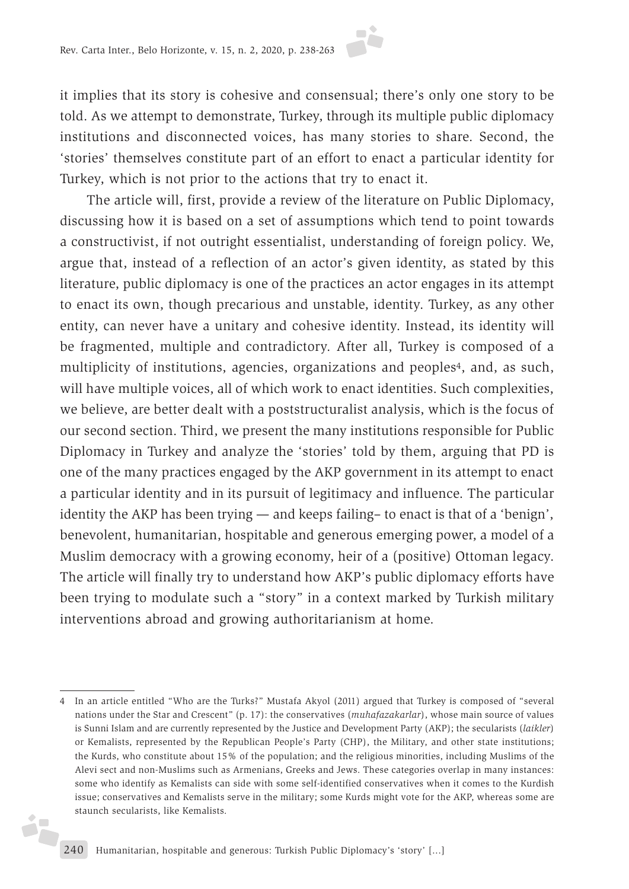it implies that its story is cohesive and consensual; there's only one story to be told. As we attempt to demonstrate, Turkey, through its multiple public diplomacy institutions and disconnected voices, has many stories to share. Second, the 'stories' themselves constitute part of an effort to enact a particular identity for Turkey, which is not prior to the actions that try to enact it.

The article will, first, provide a review of the literature on Public Diplomacy, discussing how it is based on a set of assumptions which tend to point towards a constructivist, if not outright essentialist, understanding of foreign policy. We, argue that, instead of a reflection of an actor's given identity, as stated by this literature, public diplomacy is one of the practices an actor engages in its attempt to enact its own, though precarious and unstable, identity. Turkey, as any other entity, can never have a unitary and cohesive identity. Instead, its identity will be fragmented, multiple and contradictory. After all, Turkey is composed of a multiplicity of institutions, agencies, organizations and peoples<sup>4</sup>, and, as such, will have multiple voices, all of which work to enact identities. Such complexities, we believe, are better dealt with a poststructuralist analysis, which is the focus of our second section. Third, we present the many institutions responsible for Public Diplomacy in Turkey and analyze the 'stories' told by them, arguing that PD is one of the many practices engaged by the AKP government in its attempt to enact a particular identity and in its pursuit of legitimacy and influence. The particular identity the AKP has been trying — and keeps failing– to enact is that of a 'benign', benevolent, humanitarian, hospitable and generous emerging power, a model of a Muslim democracy with a growing economy, heir of a (positive) Ottoman legacy. The article will finally try to understand how AKP's public diplomacy efforts have been trying to modulate such a "story" in a context marked by Turkish military interventions abroad and growing authoritarianism at home.

d.

<sup>4</sup> In an article entitled "Who are the Turks?" Mustafa Akyol (2011) argued that Turkey is composed of "several nations under the Star and Crescent" (p. 17): the conservatives (*muhafazakarlar*), whose main source of values is Sunni Islam and are currently represented by the Justice and Development Party (AKP); the secularists (*laikler*) or Kemalists, represented by the Republican People's Party (CHP), the Military, and other state institutions; the Kurds, who constitute about 15% of the population; and the religious minorities, including Muslims of the Alevi sect and non-Muslims such as Armenians, Greeks and Jews. These categories overlap in many instances: some who identify as Kemalists can side with some self-identified conservatives when it comes to the Kurdish issue; conservatives and Kemalists serve in the military; some Kurds might vote for the AKP, whereas some are staunch secularists, like Kemalists.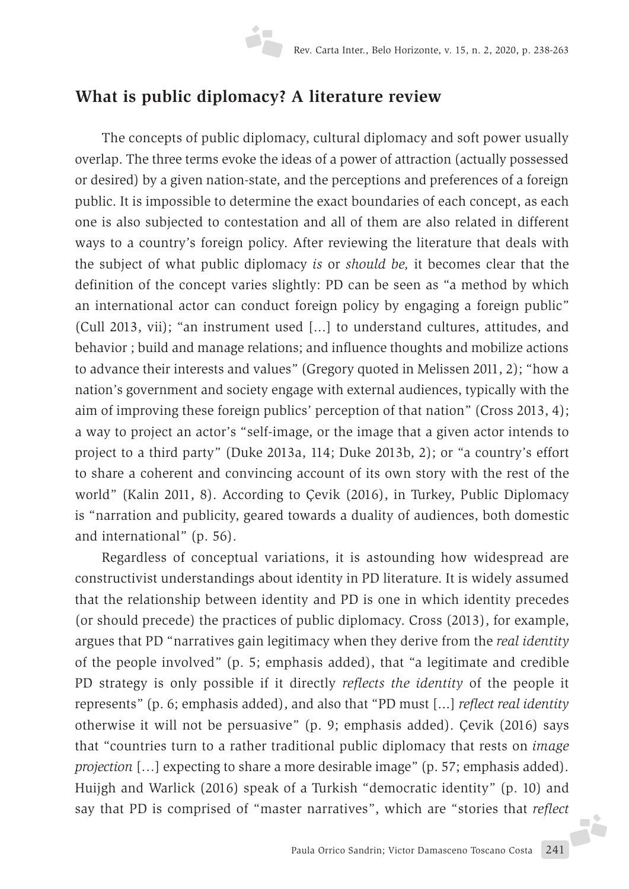# **What is public diplomacy? A literature review**

The concepts of public diplomacy, cultural diplomacy and soft power usually overlap. The three terms evoke the ideas of a power of attraction (actually possessed or desired) by a given nation-state, and the perceptions and preferences of a foreign public. It is impossible to determine the exact boundaries of each concept, as each one is also subjected to contestation and all of them are also related in different ways to a country's foreign policy. After reviewing the literature that deals with the subject of what public diplomacy *is* or *should be,* it becomes clear that the definition of the concept varies slightly: PD can be seen as "a method by which an international actor can conduct foreign policy by engaging a foreign public" (Cull 2013, vii); "an instrument used [...] to understand cultures, attitudes, and behavior ; build and manage relations; and influence thoughts and mobilize actions to advance their interests and values" (Gregory quoted in Melissen 2011, 2); "how a nation's government and society engage with external audiences, typically with the aim of improving these foreign publics' perception of that nation" (Cross 2013, 4); a way to project an actor's "self-image, or the image that a given actor intends to project to a third party" (Duke 2013a, 114; Duke 2013b, 2); or "a country's effort to share a coherent and convincing account of its own story with the rest of the world" (Kalin 2011, 8). According to Çevik (2016), in Turkey, Public Diplomacy is "narration and publicity, geared towards a duality of audiences, both domestic and international" (p. 56).

Regardless of conceptual variations, it is astounding how widespread are constructivist understandings about identity in PD literature. It is widely assumed that the relationship between identity and PD is one in which identity precedes (or should precede) the practices of public diplomacy. Cross (2013), for example, argues that PD "narratives gain legitimacy when they derive from the *real identity*  of the people involved" (p. 5; emphasis added), that "a legitimate and credible PD strategy is only possible if it directly *reflects the identity* of the people it represents" (p. 6; emphasis added), and also that "PD must [...] *reflect real identity* otherwise it will not be persuasive" (p. 9; emphasis added). Çevik (2016) says that "countries turn to a rather traditional public diplomacy that rests on *image projection* […] expecting to share a more desirable image" (p. 57; emphasis added). Huijgh and Warlick (2016) speak of a Turkish "democratic identity" (p. 10) and say that PD is comprised of "master narratives", which are "stories that *reflect*F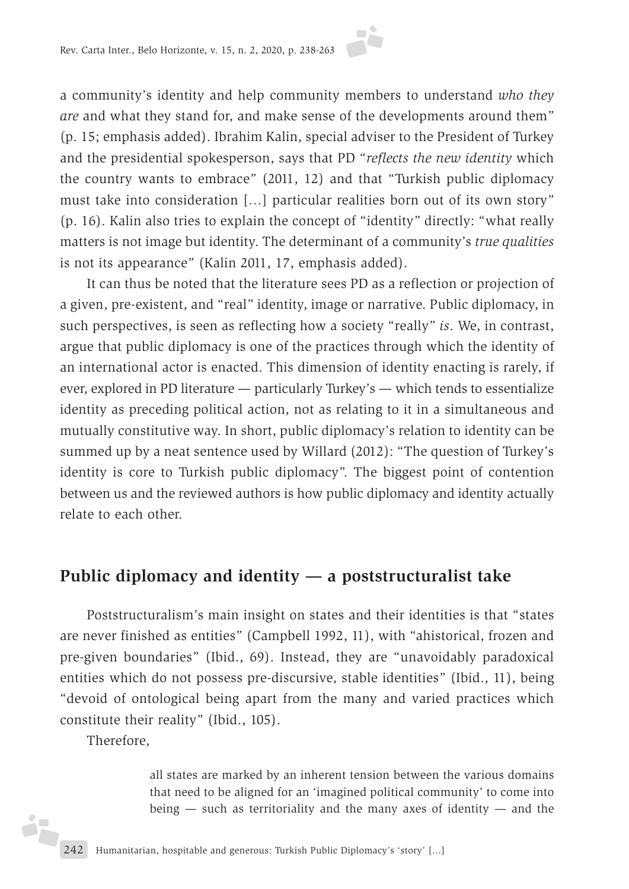a community's identity and help community members to understand *who they are* and what they stand for, and make sense of the developments around them" (p. 15; emphasis added). Ibrahim Kalin, special adviser to the President of Turkey and the presidential spokesperson, says that PD "*reflects the new identity* which the country wants to embrace" (2011, 12) and that "Turkish public diplomacy must take into consideration […] particular realities born out of its own story" (p. 16). Kalin also tries to explain the concept of "identity" directly: "what really matters is not image but identity. The determinant of a community's *true qualities* is not its appearance" (Kalin 2011, 17, emphasis added).

It can thus be noted that the literature sees PD as a reflection or projection of a given, pre-existent, and "real" identity, image or narrative. Public diplomacy, in such perspectives, is seen as reflecting how a society "really" *is*. We, in contrast, argue that public diplomacy is one of the practices through which the identity of an international actor is enacted. This dimension of identity enacting is rarely, if ever, explored in PD literature — particularly Turkey's — which tends to essentialize identity as preceding political action, not as relating to it in a simultaneous and mutually constitutive way. In short, public diplomacy's relation to identity can be summed up by a neat sentence used by Willard (2012): "The question of Turkey's identity is core to Turkish public diplomacy". The biggest point of contention between us and the reviewed authors is how public diplomacy and identity actually relate to each other.

### **Public diplomacy and identity — a poststructuralist take**

Poststructuralism's main insight on states and their identities is that "states are never finished as entities" (Campbell 1992, 11), with "ahistorical, frozen and pre-given boundaries" (Ibid., 69). Instead, they are "unavoidably paradoxical entities which do not possess pre-discursive, stable identities" (Ibid., 11), being "devoid of ontological being apart from the many and varied practices which constitute their reality" (Ibid., 105).

Therefore,

ih

all states are marked by an inherent tension between the various domains that need to be aligned for an 'imagined political community' to come into being  $-$  such as territoriality and the many axes of identity  $-$  and the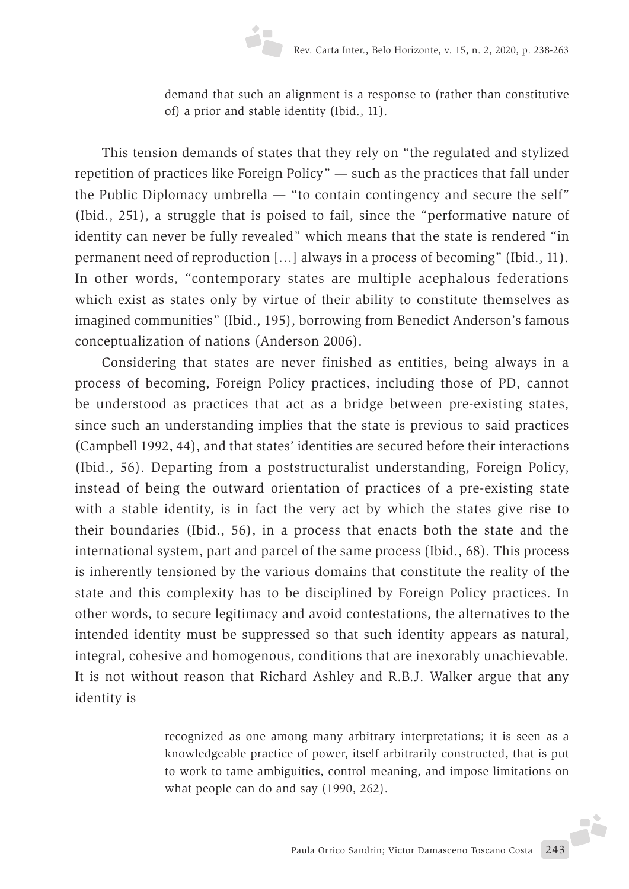demand that such an alignment is a response to (rather than constitutive of) a prior and stable identity (Ibid., 11).

This tension demands of states that they rely on "the regulated and stylized repetition of practices like Foreign Policy" — such as the practices that fall under the Public Diplomacy umbrella — "to contain contingency and secure the self" (Ibid., 251), a struggle that is poised to fail, since the "performative nature of identity can never be fully revealed" which means that the state is rendered "in permanent need of reproduction […] always in a process of becoming" (Ibid., 11). In other words, "contemporary states are multiple acephalous federations which exist as states only by virtue of their ability to constitute themselves as imagined communities" (Ibid., 195), borrowing from Benedict Anderson's famous conceptualization of nations (Anderson 2006).

Considering that states are never finished as entities, being always in a process of becoming, Foreign Policy practices, including those of PD, cannot be understood as practices that act as a bridge between pre-existing states, since such an understanding implies that the state is previous to said practices (Campbell 1992, 44), and that states' identities are secured before their interactions (Ibid., 56). Departing from a poststructuralist understanding, Foreign Policy, instead of being the outward orientation of practices of a pre-existing state with a stable identity, is in fact the very act by which the states give rise to their boundaries (Ibid., 56), in a process that enacts both the state and the international system, part and parcel of the same process (Ibid., 68). This process is inherently tensioned by the various domains that constitute the reality of the state and this complexity has to be disciplined by Foreign Policy practices. In other words, to secure legitimacy and avoid contestations, the alternatives to the intended identity must be suppressed so that such identity appears as natural, integral, cohesive and homogenous, conditions that are inexorably unachievable. It is not without reason that Richard Ashley and R.B.J. Walker argue that any identity is

> recognized as one among many arbitrary interpretations; it is seen as a knowledgeable practice of power, itself arbitrarily constructed, that is put to work to tame ambiguities, control meaning, and impose limitations on what people can do and say (1990, 262).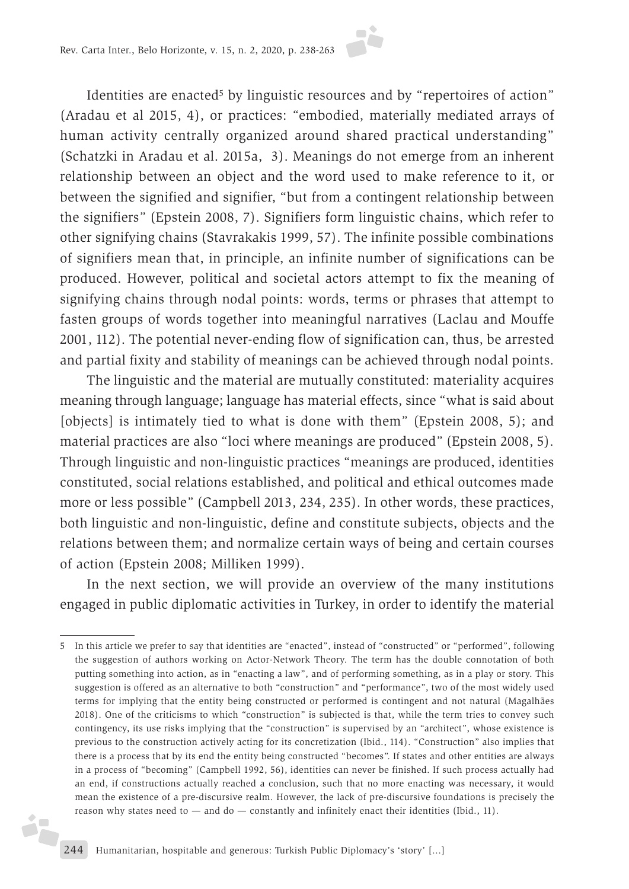Identities are enacted<sup>5</sup> by linguistic resources and by "repertoires of action" (Aradau et al 2015, 4), or practices: "embodied, materially mediated arrays of human activity centrally organized around shared practical understanding" (Schatzki in Aradau et al. 2015a, 3). Meanings do not emerge from an inherent relationship between an object and the word used to make reference to it, or between the signified and signifier, "but from a contingent relationship between the signifiers" (Epstein 2008, 7). Signifiers form linguistic chains, which refer to other signifying chains (Stavrakakis 1999, 57). The infinite possible combinations of signifiers mean that, in principle, an infinite number of significations can be produced. However, political and societal actors attempt to fix the meaning of signifying chains through nodal points: words, terms or phrases that attempt to fasten groups of words together into meaningful narratives (Laclau and Mouffe 2001, 112). The potential never-ending flow of signification can, thus, be arrested and partial fixity and stability of meanings can be achieved through nodal points.

The linguistic and the material are mutually constituted: materiality acquires meaning through language; language has material effects, since "what is said about [objects] is intimately tied to what is done with them" (Epstein 2008, 5); and material practices are also "loci where meanings are produced" (Epstein 2008, 5). Through linguistic and non-linguistic practices "meanings are produced, identities constituted, social relations established, and political and ethical outcomes made more or less possible" (Campbell 2013, 234, 235). In other words, these practices, both linguistic and non-linguistic, define and constitute subjects, objects and the relations between them; and normalize certain ways of being and certain courses of action (Epstein 2008; Milliken 1999).

In the next section, we will provide an overview of the many institutions engaged in public diplomatic activities in Turkey, in order to identify the material

i,

<sup>5</sup> In this article we prefer to say that identities are "enacted", instead of "constructed" or "performed", following the suggestion of authors working on Actor-Network Theory. The term has the double connotation of both putting something into action, as in "enacting a law", and of performing something, as in a play or story. This suggestion is offered as an alternative to both "construction" and "performance", two of the most widely used terms for implying that the entity being constructed or performed is contingent and not natural (Magalhães 2018). One of the criticisms to which "construction" is subjected is that, while the term tries to convey such contingency, its use risks implying that the "construction" is supervised by an "architect", whose existence is previous to the construction actively acting for its concretization (Ibid., 114). "Construction" also implies that there is a process that by its end the entity being constructed "becomes". If states and other entities are always in a process of "becoming" (Campbell 1992, 56), identities can never be finished. If such process actually had an end, if constructions actually reached a conclusion, such that no more enacting was necessary, it would mean the existence of a pre-discursive realm. However, the lack of pre-discursive foundations is precisely the reason why states need to  $-$  and do  $-$  constantly and infinitely enact their identities (Ibid., 11).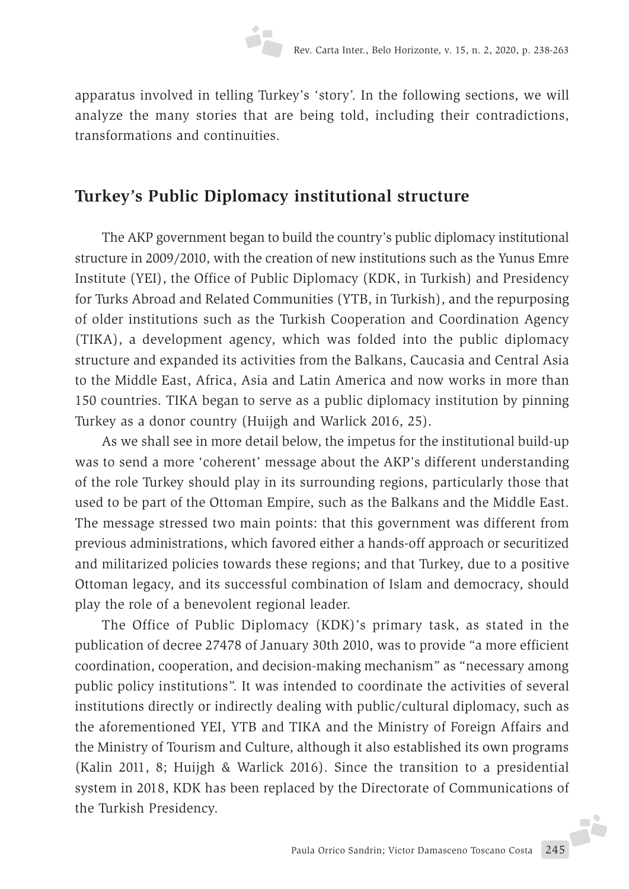apparatus involved in telling Turkey's 'story'. In the following sections, we will analyze the many stories that are being told, including their contradictions, transformations and continuities.

# **Turkey's Public Diplomacy institutional structure**

The AKP government began to build the country's public diplomacy institutional structure in 2009/2010, with the creation of new institutions such as the Yunus Emre Institute (YEI), the Office of Public Diplomacy (KDK, in Turkish) and Presidency for Turks Abroad and Related Communities (YTB, in Turkish), and the repurposing of older institutions such as the Turkish Cooperation and Coordination Agency (TIKA), a development agency, which was folded into the public diplomacy structure and expanded its activities from the Balkans, Caucasia and Central Asia to the Middle East, Africa, Asia and Latin America and now works in more than 150 countries. TIKA began to serve as a public diplomacy institution by pinning Turkey as a donor country (Huijgh and Warlick 2016, 25).

As we shall see in more detail below, the impetus for the institutional build-up was to send a more 'coherent' message about the AKP's different understanding of the role Turkey should play in its surrounding regions, particularly those that used to be part of the Ottoman Empire, such as the Balkans and the Middle East. The message stressed two main points: that this government was different from previous administrations, which favored either a hands-off approach or securitized and militarized policies towards these regions; and that Turkey, due to a positive Ottoman legacy, and its successful combination of Islam and democracy, should play the role of a benevolent regional leader.

The Office of Public Diplomacy (KDK)'s primary task, as stated in the publication of decree 27478 of January 30th 2010, was to provide "a more efficient coordination, cooperation, and decision-making mechanism" as "necessary among public policy institutions". It was intended to coordinate the activities of several institutions directly or indirectly dealing with public/cultural diplomacy, such as the aforementioned YEI, YTB and TIKA and the Ministry of Foreign Affairs and the Ministry of Tourism and Culture, although it also established its own programs (Kalin 2011, 8; Huijgh & Warlick 2016). Since the transition to a presidential system in 2018, KDK has been replaced by the Directorate of Communications of the Turkish Presidency.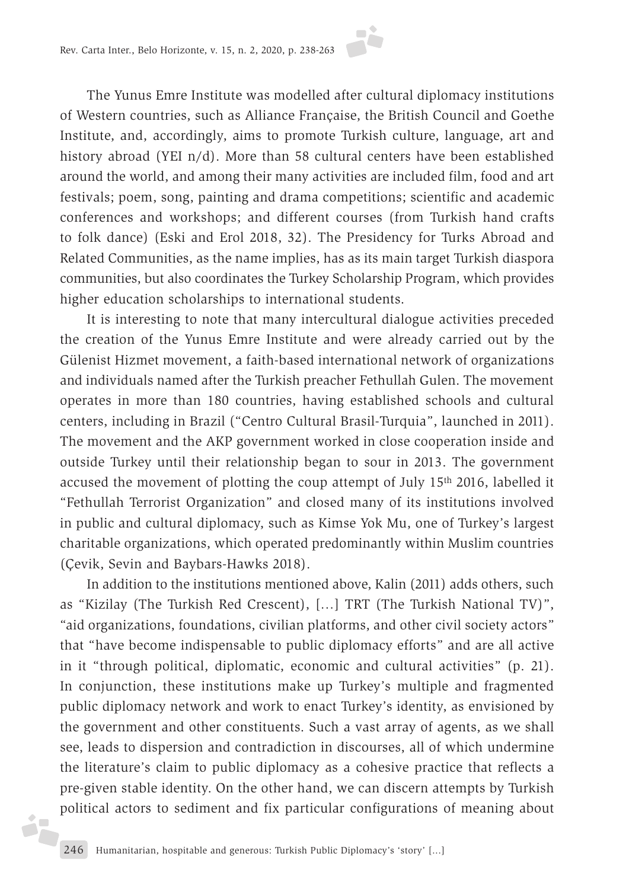The Yunus Emre Institute was modelled after cultural diplomacy institutions of Western countries, such as Alliance Française, the British Council and Goethe Institute, and, accordingly, aims to promote Turkish culture, language, art and history abroad (YEI n/d). More than 58 cultural centers have been established around the world, and among their many activities are included film, food and art festivals; poem, song, painting and drama competitions; scientific and academic conferences and workshops; and different courses (from Turkish hand crafts to folk dance) (Eski and Erol 2018, 32). The Presidency for Turks Abroad and Related Communities, as the name implies, has as its main target Turkish diaspora communities, but also coordinates the Turkey Scholarship Program, which provides higher education scholarships to international students.

It is interesting to note that many intercultural dialogue activities preceded the creation of the Yunus Emre Institute and were already carried out by the Gülenist Hizmet movement, a faith-based international network of organizations and individuals named after the Turkish preacher Fethullah Gulen. The movement operates in more than 180 countries, having established schools and cultural centers, including in Brazil ("Centro Cultural Brasil-Turquia", launched in 2011). The movement and the AKP government worked in close cooperation inside and outside Turkey until their relationship began to sour in 2013. The government accused the movement of plotting the coup attempt of July 15th 2016, labelled it "Fethullah Terrorist Organization" and closed many of its institutions involved in public and cultural diplomacy, such as Kimse Yok Mu, one of Turkey's largest charitable organizations, which operated predominantly within Muslim countries (Çevik, Sevin and Baybars-Hawks 2018).

In addition to the institutions mentioned above, Kalin (2011) adds others, such as "Kizilay (The Turkish Red Crescent), […] TRT (The Turkish National TV)", "aid organizations, foundations, civilian platforms, and other civil society actors" that "have become indispensable to public diplomacy efforts" and are all active in it "through political, diplomatic, economic and cultural activities" (p. 21). In conjunction, these institutions make up Turkey's multiple and fragmented public diplomacy network and work to enact Turkey's identity, as envisioned by the government and other constituents. Such a vast array of agents, as we shall see, leads to dispersion and contradiction in discourses, all of which undermine the literature's claim to public diplomacy as a cohesive practice that reflects a pre-given stable identity. On the other hand, we can discern attempts by Turkish political actors to sediment and fix particular configurations of meaning about

j.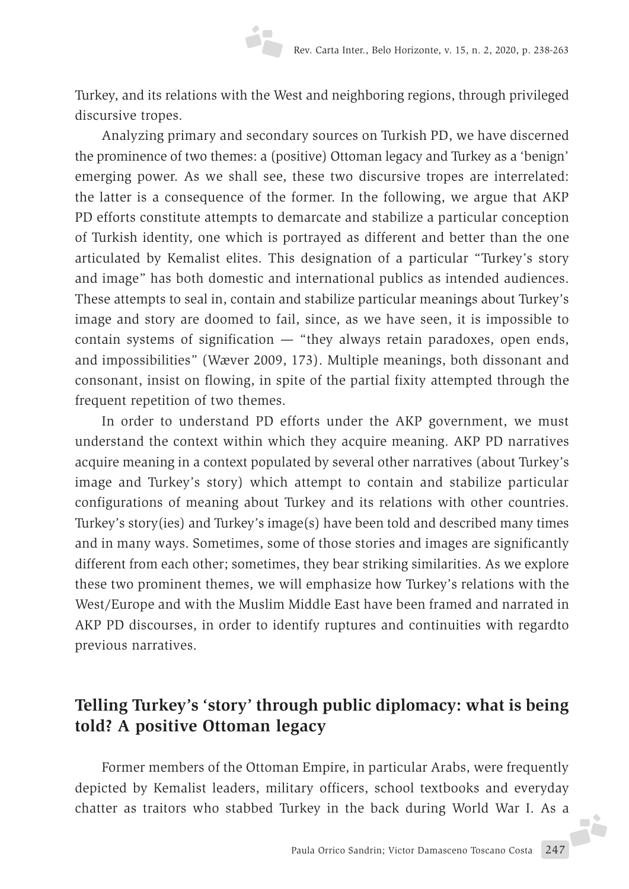Turkey, and its relations with the West and neighboring regions, through privileged discursive tropes.

Analyzing primary and secondary sources on Turkish PD, we have discerned the prominence of two themes: a (positive) Ottoman legacy and Turkey as a 'benign' emerging power. As we shall see, these two discursive tropes are interrelated: the latter is a consequence of the former. In the following, we argue that AKP PD efforts constitute attempts to demarcate and stabilize a particular conception of Turkish identity, one which is portrayed as different and better than the one articulated by Kemalist elites. This designation of a particular "Turkey's story and image" has both domestic and international publics as intended audiences. These attempts to seal in, contain and stabilize particular meanings about Turkey's image and story are doomed to fail, since, as we have seen, it is impossible to contain systems of signification — "they always retain paradoxes, open ends, and impossibilities" (Wæver 2009, 173). Multiple meanings, both dissonant and consonant, insist on flowing, in spite of the partial fixity attempted through the frequent repetition of two themes.

In order to understand PD efforts under the AKP government, we must understand the context within which they acquire meaning. AKP PD narratives acquire meaning in a context populated by several other narratives (about Turkey's image and Turkey's story) which attempt to contain and stabilize particular configurations of meaning about Turkey and its relations with other countries. Turkey's story(ies) and Turkey's image(s) have been told and described many times and in many ways. Sometimes, some of those stories and images are significantly different from each other; sometimes, they bear striking similarities. As we explore these two prominent themes, we will emphasize how Turkey's relations with the West/Europe and with the Muslim Middle East have been framed and narrated in AKP PD discourses, in order to identify ruptures and continuities with regardto previous narratives.

## **Telling Turkey's 'story' through public diplomacy: what is being told? A positive Ottoman legacy**

Former members of the Ottoman Empire, in particular Arabs, were frequently depicted by Kemalist leaders, military officers, school textbooks and everyday chatter as traitors who stabbed Turkey in the back during World War I. As a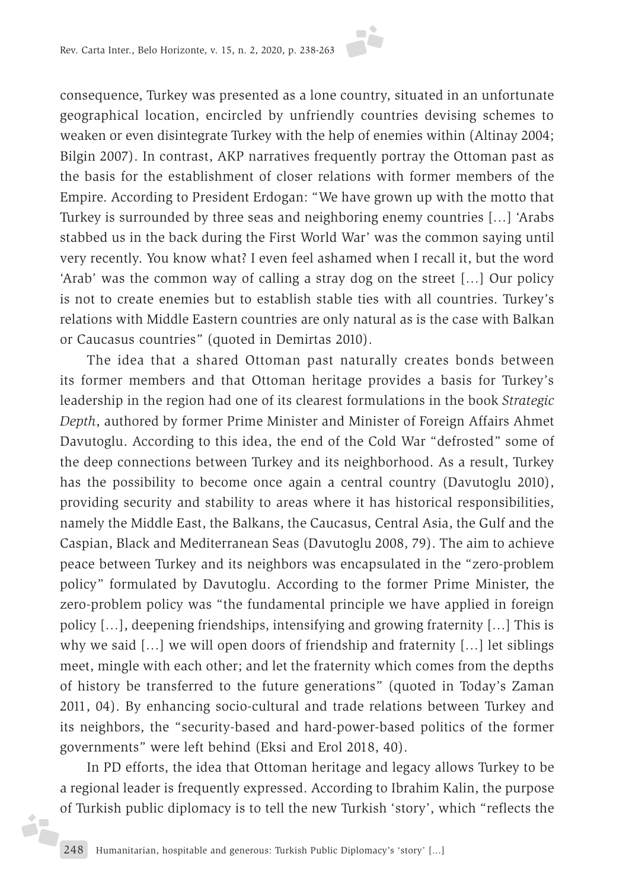consequence, Turkey was presented as a lone country, situated in an unfortunate geographical location, encircled by unfriendly countries devising schemes to weaken or even disintegrate Turkey with the help of enemies within (Altinay 2004; Bilgin 2007). In contrast, AKP narratives frequently portray the Ottoman past as the basis for the establishment of closer relations with former members of the Empire. According to President Erdogan: "We have grown up with the motto that Turkey is surrounded by three seas and neighboring enemy countries […] 'Arabs stabbed us in the back during the First World War' was the common saying until very recently. You know what? I even feel ashamed when I recall it, but the word 'Arab' was the common way of calling a stray dog on the street […] Our policy is not to create enemies but to establish stable ties with all countries. Turkey's relations with Middle Eastern countries are only natural as is the case with Balkan or Caucasus countries" (quoted in Demirtas 2010).

The idea that a shared Ottoman past naturally creates bonds between its former members and that Ottoman heritage provides a basis for Turkey's leadership in the region had one of its clearest formulations in the book *Strategic Depth*, authored by former Prime Minister and Minister of Foreign Affairs Ahmet Davutoglu. According to this idea, the end of the Cold War "defrosted" some of the deep connections between Turkey and its neighborhood. As a result, Turkey has the possibility to become once again a central country (Davutoglu 2010), providing security and stability to areas where it has historical responsibilities, namely the Middle East, the Balkans, the Caucasus, Central Asia, the Gulf and the Caspian, Black and Mediterranean Seas (Davutoglu 2008, 79). The aim to achieve peace between Turkey and its neighbors was encapsulated in the "zero-problem policy" formulated by Davutoglu. According to the former Prime Minister, the zero-problem policy was "the fundamental principle we have applied in foreign policy […], deepening friendships, intensifying and growing fraternity […] This is why we said […] we will open doors of friendship and fraternity […] let siblings meet, mingle with each other; and let the fraternity which comes from the depths of history be transferred to the future generations" (quoted in Today's Zaman 2011, 04). By enhancing socio-cultural and trade relations between Turkey and its neighbors, the "security-based and hard-power-based politics of the former governments" were left behind (Eksi and Erol 2018, 40).

In PD efforts, the idea that Ottoman heritage and legacy allows Turkey to be a regional leader is frequently expressed. According to Ibrahim Kalin, the purpose of Turkish public diplomacy is to tell the new Turkish 'story', which "reflects the

ó,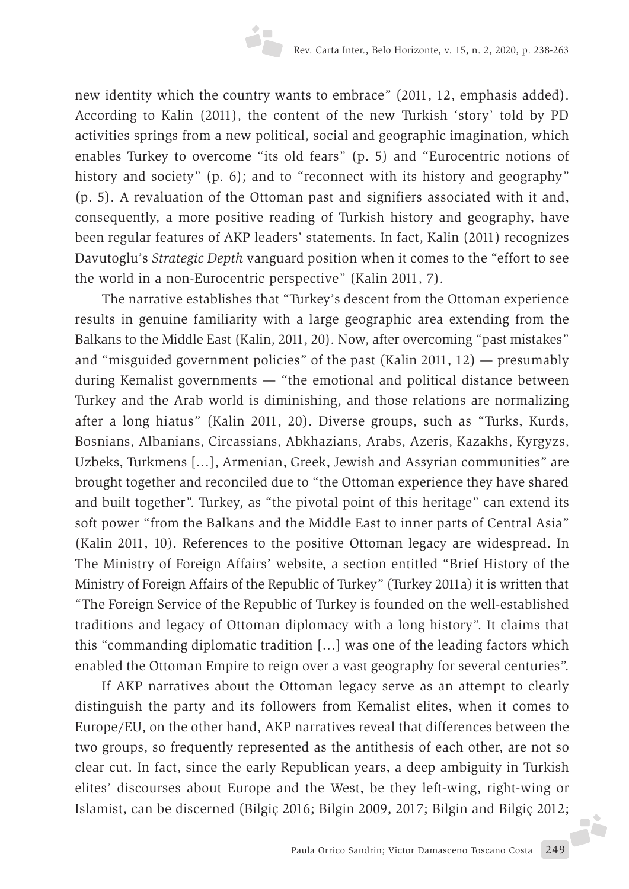new identity which the country wants to embrace" (2011, 12, emphasis added). According to Kalin (2011), the content of the new Turkish 'story' told by PD activities springs from a new political, social and geographic imagination, which enables Turkey to overcome "its old fears" (p. 5) and "Eurocentric notions of history and society" (p. 6); and to "reconnect with its history and geography" (p. 5). A revaluation of the Ottoman past and signifiers associated with it and, consequently, a more positive reading of Turkish history and geography, have been regular features of AKP leaders' statements. In fact, Kalin (2011) recognizes Davutoglu's *Strategic Depth* vanguard position when it comes to the "effort to see the world in a non-Eurocentric perspective" (Kalin 2011, 7).

The narrative establishes that "Turkey's descent from the Ottoman experience results in genuine familiarity with a large geographic area extending from the Balkans to the Middle East (Kalin, 2011, 20). Now, after overcoming "past mistakes" and "misguided government policies" of the past (Kalin 2011, 12) — presumably during Kemalist governments — "the emotional and political distance between Turkey and the Arab world is diminishing, and those relations are normalizing after a long hiatus" (Kalin 2011, 20). Diverse groups, such as "Turks, Kurds, Bosnians, Albanians, Circassians, Abkhazians, Arabs, Azeris, Kazakhs, Kyrgyzs, Uzbeks, Turkmens […], Armenian, Greek, Jewish and Assyrian communities" are brought together and reconciled due to "the Ottoman experience they have shared and built together". Turkey, as "the pivotal point of this heritage" can extend its soft power "from the Balkans and the Middle East to inner parts of Central Asia" (Kalin 2011, 10). References to the positive Ottoman legacy are widespread. In The Ministry of Foreign Affairs' website, a section entitled "Brief History of the Ministry of Foreign Affairs of the Republic of Turkey" (Turkey 2011a) it is written that "The Foreign Service of the Republic of Turkey is founded on the well-established traditions and legacy of Ottoman diplomacy with a long history". It claims that this "commanding diplomatic tradition […] was one of the leading factors which enabled the Ottoman Empire to reign over a vast geography for several centuries".

If AKP narratives about the Ottoman legacy serve as an attempt to clearly distinguish the party and its followers from Kemalist elites, when it comes to Europe/EU, on the other hand, AKP narratives reveal that differences between the two groups, so frequently represented as the antithesis of each other, are not so clear cut. In fact, since the early Republican years, a deep ambiguity in Turkish elites' discourses about Europe and the West, be they left-wing, right-wing or Islamist, can be discerned (Bilgiç 2016; Bilgin 2009, 2017; Bilgin and Bilgiç 2012;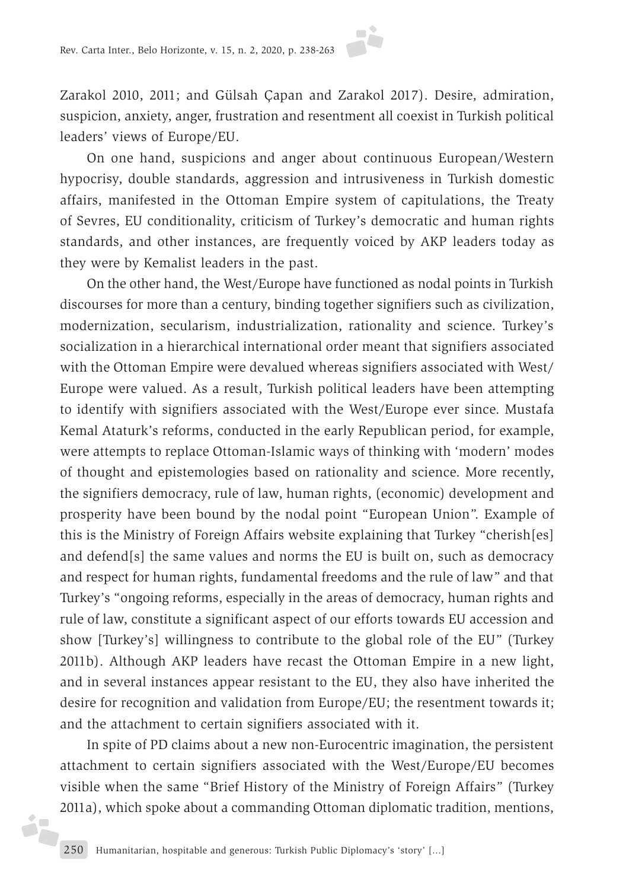Zarakol 2010, 2011; and Gülsah Çapan and Zarakol 2017). Desire, admiration, suspicion, anxiety, anger, frustration and resentment all coexist in Turkish political leaders' views of Europe/EU.

On one hand, suspicions and anger about continuous European/Western hypocrisy, double standards, aggression and intrusiveness in Turkish domestic affairs, manifested in the Ottoman Empire system of capitulations, the Treaty of Sevres, EU conditionality, criticism of Turkey's democratic and human rights standards, and other instances, are frequently voiced by AKP leaders today as they were by Kemalist leaders in the past.

On the other hand, the West/Europe have functioned as nodal points in Turkish discourses for more than a century, binding together signifiers such as civilization, modernization, secularism, industrialization, rationality and science. Turkey's socialization in a hierarchical international order meant that signifiers associated with the Ottoman Empire were devalued whereas signifiers associated with West/ Europe were valued. As a result, Turkish political leaders have been attempting to identify with signifiers associated with the West/Europe ever since. Mustafa Kemal Ataturk's reforms, conducted in the early Republican period, for example, were attempts to replace Ottoman-Islamic ways of thinking with 'modern' modes of thought and epistemologies based on rationality and science. More recently, the signifiers democracy, rule of law, human rights, (economic) development and prosperity have been bound by the nodal point "European Union". Example of this is the Ministry of Foreign Affairs website explaining that Turkey "cherish[es] and defend[s] the same values and norms the EU is built on, such as democracy and respect for human rights, fundamental freedoms and the rule of law" and that Turkey's "ongoing reforms, especially in the areas of democracy, human rights and rule of law, constitute a significant aspect of our efforts towards EU accession and show [Turkey's] willingness to contribute to the global role of the EU" (Turkey 2011b). Although AKP leaders have recast the Ottoman Empire in a new light, and in several instances appear resistant to the EU, they also have inherited the desire for recognition and validation from Europe/EU; the resentment towards it; and the attachment to certain signifiers associated with it.

In spite of PD claims about a new non-Eurocentric imagination, the persistent attachment to certain signifiers associated with the West/Europe/EU becomes visible when the same "Brief History of the Ministry of Foreign Affairs" (Turkey 2011a), which spoke about a commanding Ottoman diplomatic tradition, mentions,

ó7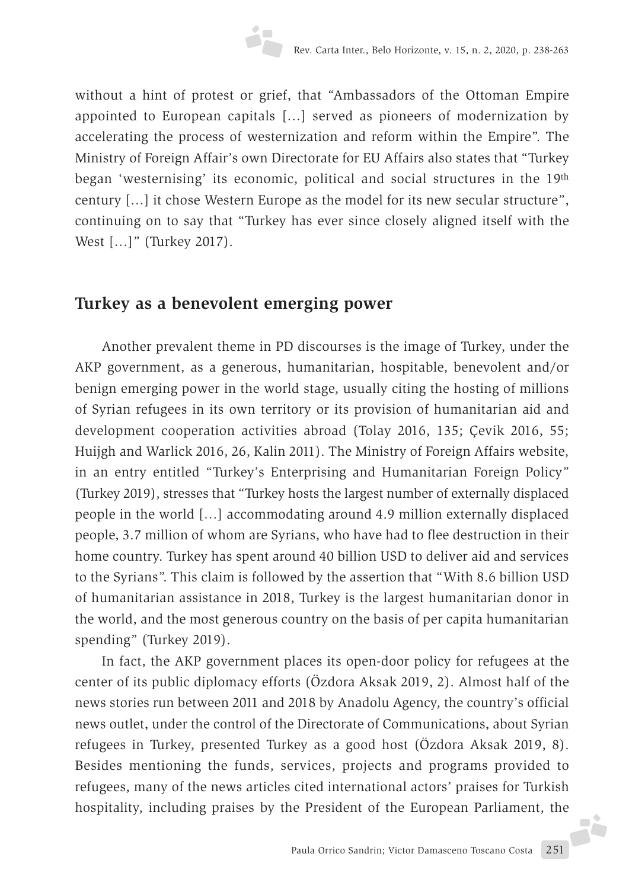without a hint of protest or grief, that "Ambassadors of the Ottoman Empire appointed to European capitals […] served as pioneers of modernization by accelerating the process of westernization and reform within the Empire". The Ministry of Foreign Affair's own Directorate for EU Affairs also states that "Turkey began 'westernising' its economic, political and social structures in the 19th century […] it chose Western Europe as the model for its new secular structure", continuing on to say that "Turkey has ever since closely aligned itself with the West [...]" (Turkey 2017).

## **Turkey as a benevolent emerging power**

Another prevalent theme in PD discourses is the image of Turkey, under the AKP government, as a generous, humanitarian, hospitable, benevolent and/or benign emerging power in the world stage, usually citing the hosting of millions of Syrian refugees in its own territory or its provision of humanitarian aid and development cooperation activities abroad (Tolay 2016, 135; Çevik 2016, 55; Huijgh and Warlick 2016, 26, Kalin 2011). The Ministry of Foreign Affairs website, in an entry entitled "Turkey's Enterprising and Humanitarian Foreign Policy" (Turkey 2019), stresses that "Turkey hosts the largest number of externally displaced people in the world […] accommodating around 4.9 million externally displaced people, 3.7 million of whom are Syrians, who have had to flee destruction in their home country. Turkey has spent around 40 billion USD to deliver aid and services to the Syrians". This claim is followed by the assertion that "With 8.6 billion USD of humanitarian assistance in 2018, Turkey is the largest humanitarian donor in the world, and the most generous country on the basis of per capita humanitarian spending" (Turkey 2019).

In fact, the AKP government places its open-door policy for refugees at the center of its public diplomacy efforts (Özdora Aksak 2019, 2). Almost half of the news stories run between 2011 and 2018 by Anadolu Agency, the country's official news outlet, under the control of the Directorate of Communications, about Syrian refugees in Turkey, presented Turkey as a good host (Özdora Aksak 2019, 8). Besides mentioning the funds, services, projects and programs provided to refugees, many of the news articles cited international actors' praises for Turkish hospitality, including praises by the President of the European Parliament, the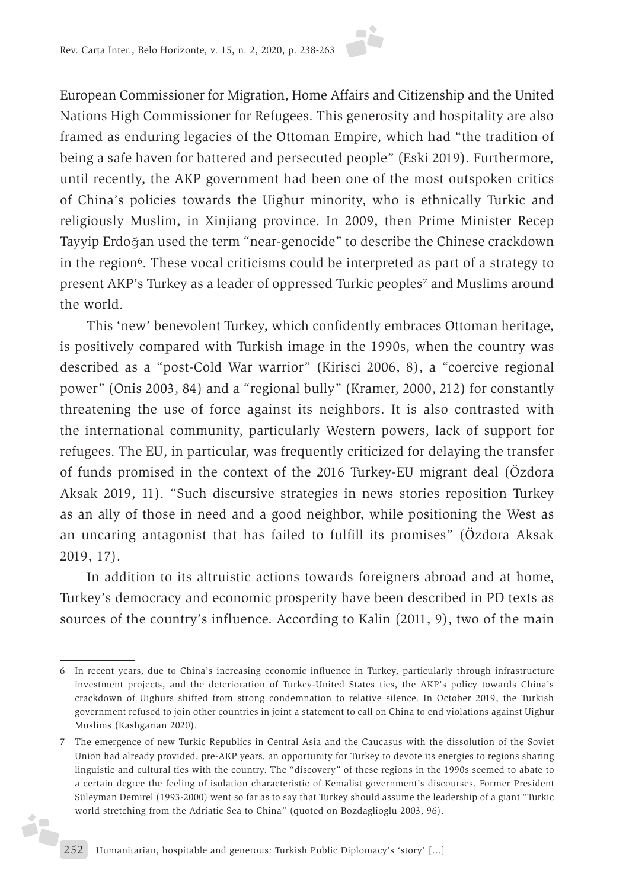European Commissioner for Migration, Home Affairs and Citizenship and the United Nations High Commissioner for Refugees. This generosity and hospitality are also framed as enduring legacies of the Ottoman Empire, which had "the tradition of being a safe haven for battered and persecuted people" (Eski 2019). Furthermore, until recently, the AKP government had been one of the most outspoken critics of China's policies towards the Uighur minority, who is ethnically Turkic and religiously Muslim, in Xinjiang province. In 2009, then Prime Minister Recep Tayyip Erdoğan used the term "near-genocide" to describe the Chinese crackdown in the region<sup>6</sup>. These vocal criticisms could be interpreted as part of a strategy to present AKP's Turkey as a leader of oppressed Turkic peoples7 and Muslims around the world.

This 'new' benevolent Turkey, which confidently embraces Ottoman heritage, is positively compared with Turkish image in the 1990s, when the country was described as a "post-Cold War warrior" (Kirisci 2006, 8), a "coercive regional power" (Onis 2003, 84) and a "regional bully" (Kramer, 2000, 212) for constantly threatening the use of force against its neighbors. It is also contrasted with the international community, particularly Western powers, lack of support for refugees. The EU, in particular, was frequently criticized for delaying the transfer of funds promised in the context of the 2016 Turkey-EU migrant deal (Özdora Aksak 2019, 11). "Such discursive strategies in news stories reposition Turkey as an ally of those in need and a good neighbor, while positioning the West as an uncaring antagonist that has failed to fulfill its promises" (Özdora Aksak 2019, 17).

In addition to its altruistic actions towards foreigners abroad and at home, Turkey's democracy and economic prosperity have been described in PD texts as sources of the country's influence. According to Kalin (2011, 9), two of the main

j.

<sup>6</sup> In recent years, due to China's increasing economic influence in Turkey, particularly through infrastructure investment projects, and the deterioration of Turkey-United States ties, the AKP's policy towards China's crackdown of Uighurs shifted from strong condemnation to relative silence. In October 2019, the Turkish government refused to join other countries in joint a statement to call on China to end violations against Uighur Muslims (Kashgarian 2020).

<sup>7</sup> The emergence of new Turkic Republics in Central Asia and the Caucasus with the dissolution of the Soviet Union had already provided, pre-AKP years, an opportunity for Turkey to devote its energies to regions sharing linguistic and cultural ties with the country. The "discovery" of these regions in the 1990s seemed to abate to a certain degree the feeling of isolation characteristic of Kemalist government's discourses. Former President Süleyman Demirel (1993-2000) went so far as to say that Turkey should assume the leadership of a giant "Turkic world stretching from the Adriatic Sea to China" (quoted on Bozdaglioglu 2003, 96).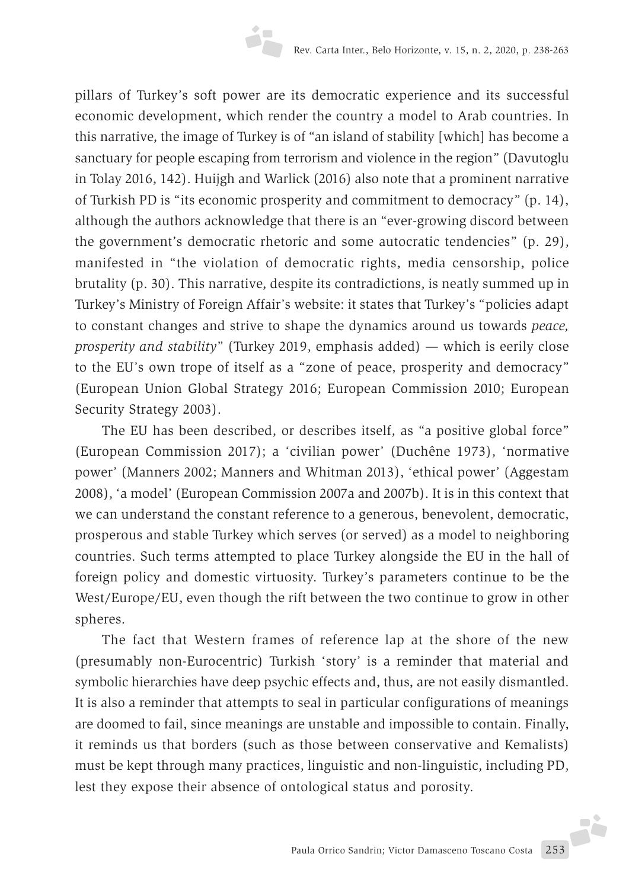pillars of Turkey's soft power are its democratic experience and its successful economic development, which render the country a model to Arab countries. In this narrative, the image of Turkey is of "an island of stability [which] has become a sanctuary for people escaping from terrorism and violence in the region" (Davutoglu in Tolay 2016, 142). Huijgh and Warlick (2016) also note that a prominent narrative of Turkish PD is "its economic prosperity and commitment to democracy" (p. 14), although the authors acknowledge that there is an "ever-growing discord between the government's democratic rhetoric and some autocratic tendencies" (p. 29), manifested in "the violation of democratic rights, media censorship, police brutality (p. 30). This narrative, despite its contradictions, is neatly summed up in Turkey's Ministry of Foreign Affair's website: it states that Turkey's "policies adapt to constant changes and strive to shape the dynamics around us towards *peace, prosperity and stability*" (Turkey 2019, emphasis added) — which is eerily close to the EU's own trope of itself as a "zone of peace, prosperity and democracy" (European Union Global Strategy 2016; European Commission 2010; European Security Strategy 2003).

The EU has been described, or describes itself, as "a positive global force" (European Commission 2017); a 'civilian power' (Duchêne 1973), 'normative power' (Manners 2002; Manners and Whitman 2013), 'ethical power' (Aggestam 2008), 'a model' (European Commission 2007a and 2007b). It is in this context that we can understand the constant reference to a generous, benevolent, democratic, prosperous and stable Turkey which serves (or served) as a model to neighboring countries. Such terms attempted to place Turkey alongside the EU in the hall of foreign policy and domestic virtuosity. Turkey's parameters continue to be the West/Europe/EU, even though the rift between the two continue to grow in other spheres.

The fact that Western frames of reference lap at the shore of the new (presumably non-Eurocentric) Turkish 'story' is a reminder that material and symbolic hierarchies have deep psychic effects and, thus, are not easily dismantled. It is also a reminder that attempts to seal in particular configurations of meanings are doomed to fail, since meanings are unstable and impossible to contain. Finally, it reminds us that borders (such as those between conservative and Kemalists) must be kept through many practices, linguistic and non-linguistic, including PD, lest they expose their absence of ontological status and porosity.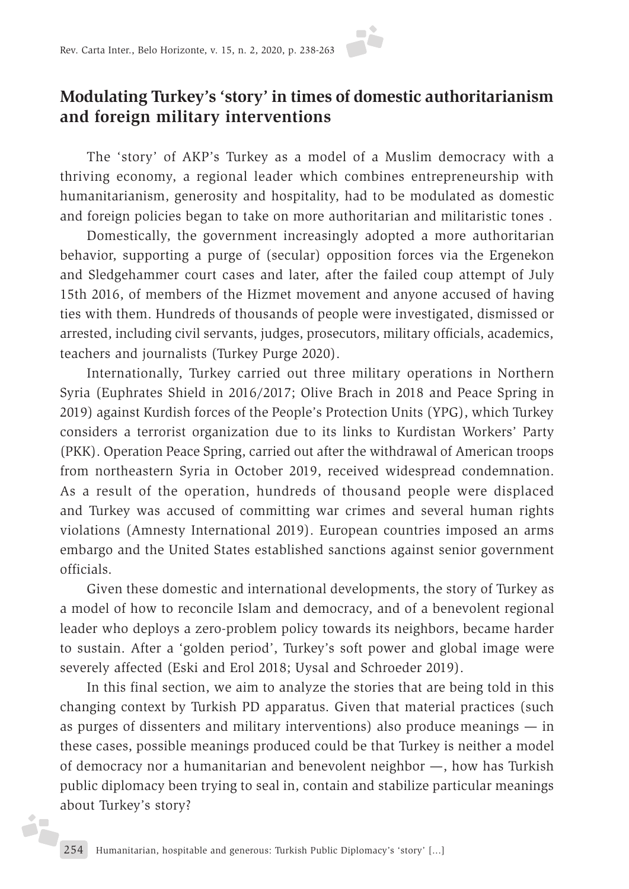### **Modulating Turkey's 'story' in times of domestic authoritarianism and foreign military interventions**

The 'story' of AKP's Turkey as a model of a Muslim democracy with a thriving economy, a regional leader which combines entrepreneurship with humanitarianism, generosity and hospitality, had to be modulated as domestic and foreign policies began to take on more authoritarian and militaristic tones .

Domestically, the government increasingly adopted a more authoritarian behavior, supporting a purge of (secular) opposition forces via the Ergenekon and Sledgehammer court cases and later, after the failed coup attempt of July 15th 2016, of members of the Hizmet movement and anyone accused of having ties with them. Hundreds of thousands of people were investigated, dismissed or arrested, including civil servants, judges, prosecutors, military officials, academics, teachers and journalists (Turkey Purge 2020).

Internationally, Turkey carried out three military operations in Northern Syria (Euphrates Shield in 2016/2017; Olive Brach in 2018 and Peace Spring in 2019) against Kurdish forces of the People's Protection Units (YPG), which Turkey considers a terrorist organization due to its links to Kurdistan Workers' Party (PKK). Operation Peace Spring, carried out after the withdrawal of American troops from northeastern Syria in October 2019, received widespread condemnation. As a result of the operation, hundreds of thousand people were displaced and Turkey was accused of committing war crimes and several human rights violations (Amnesty International 2019). European countries imposed an arms embargo and the United States established sanctions against senior government officials.

Given these domestic and international developments, the story of Turkey as a model of how to reconcile Islam and democracy, and of a benevolent regional leader who deploys a zero-problem policy towards its neighbors, became harder to sustain. After a 'golden period', Turkey's soft power and global image were severely affected (Eski and Erol 2018; Uysal and Schroeder 2019).

In this final section, we aim to analyze the stories that are being told in this changing context by Turkish PD apparatus. Given that material practices (such as purges of dissenters and military interventions) also produce meanings — in these cases, possible meanings produced could be that Turkey is neither a model of democracy nor a humanitarian and benevolent neighbor —, how has Turkish public diplomacy been trying to seal in, contain and stabilize particular meanings about Turkey's story?

i.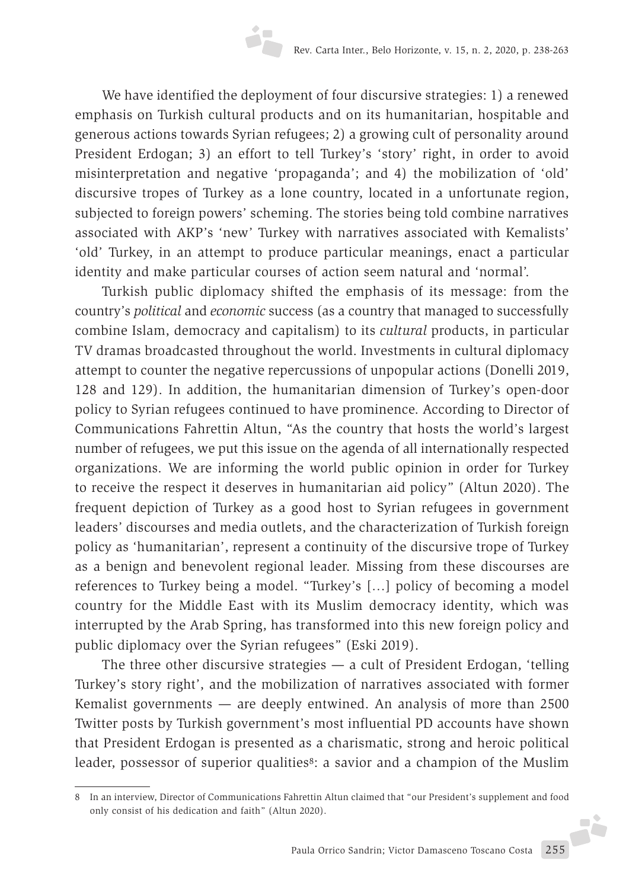We have identified the deployment of four discursive strategies: 1) a renewed emphasis on Turkish cultural products and on its humanitarian, hospitable and generous actions towards Syrian refugees; 2) a growing cult of personality around President Erdogan; 3) an effort to tell Turkey's 'story' right, in order to avoid misinterpretation and negative 'propaganda'; and 4) the mobilization of 'old' discursive tropes of Turkey as a lone country, located in a unfortunate region, subjected to foreign powers' scheming. The stories being told combine narratives associated with AKP's 'new' Turkey with narratives associated with Kemalists' 'old' Turkey, in an attempt to produce particular meanings, enact a particular identity and make particular courses of action seem natural and 'normal'.

Turkish public diplomacy shifted the emphasis of its message: from the country's *political* and *economic* success (as a country that managed to successfully combine Islam, democracy and capitalism) to its *cultural* products, in particular TV dramas broadcasted throughout the world. Investments in cultural diplomacy attempt to counter the negative repercussions of unpopular actions (Donelli 2019, 128 and 129). In addition, the humanitarian dimension of Turkey's open-door policy to Syrian refugees continued to have prominence. According to Director of Communications Fahrettin Altun, "As the country that hosts the world's largest number of refugees, we put this issue on the agenda of all internationally respected organizations. We are informing the world public opinion in order for Turkey to receive the respect it deserves in humanitarian aid policy" (Altun 2020). The frequent depiction of Turkey as a good host to Syrian refugees in government leaders' discourses and media outlets, and the characterization of Turkish foreign policy as 'humanitarian', represent a continuity of the discursive trope of Turkey as a benign and benevolent regional leader. Missing from these discourses are references to Turkey being a model. "Turkey's […] policy of becoming a model country for the Middle East with its Muslim democracy identity, which was interrupted by the Arab Spring, has transformed into this new foreign policy and public diplomacy over the Syrian refugees" (Eski 2019).

The three other discursive strategies — a cult of President Erdogan, 'telling Turkey's story right', and the mobilization of narratives associated with former Kemalist governments — are deeply entwined. An analysis of more than 2500 Twitter posts by Turkish government's most influential PD accounts have shown that President Erdogan is presented as a charismatic, strong and heroic political leader, possessor of superior qualities<sup>8</sup>: a savior and a champion of the Muslim

<sup>8</sup> In an interview, Director of Communications Fahrettin Altun claimed that "our President's supplement and food only consist of his dedication and faith" (Altun 2020).J.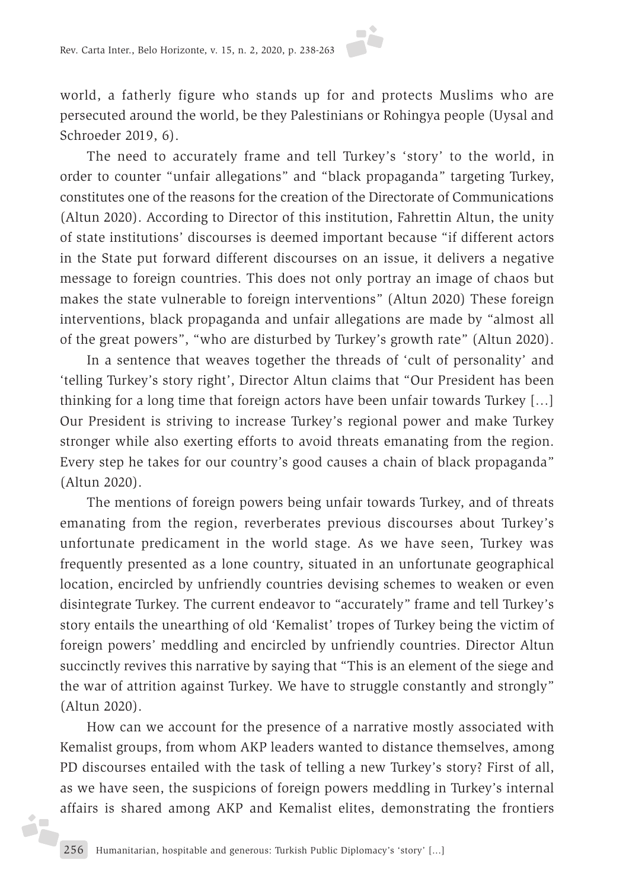world, a fatherly figure who stands up for and protects Muslims who are persecuted around the world, be they Palestinians or Rohingya people (Uysal and Schroeder 2019, 6).

The need to accurately frame and tell Turkey's 'story' to the world, in order to counter "unfair allegations" and "black propaganda" targeting Turkey, constitutes one of the reasons for the creation of the Directorate of Communications (Altun 2020). According to Director of this institution, Fahrettin Altun, the unity of state institutions' discourses is deemed important because "if different actors in the State put forward different discourses on an issue, it delivers a negative message to foreign countries. This does not only portray an image of chaos but makes the state vulnerable to foreign interventions" (Altun 2020) These foreign interventions, black propaganda and unfair allegations are made by "almost all of the great powers", "who are disturbed by Turkey's growth rate" (Altun 2020).

In a sentence that weaves together the threads of 'cult of personality' and 'telling Turkey's story right', Director Altun claims that "Our President has been thinking for a long time that foreign actors have been unfair towards Turkey […] Our President is striving to increase Turkey's regional power and make Turkey stronger while also exerting efforts to avoid threats emanating from the region. Every step he takes for our country's good causes a chain of black propaganda" (Altun 2020).

The mentions of foreign powers being unfair towards Turkey, and of threats emanating from the region, reverberates previous discourses about Turkey's unfortunate predicament in the world stage. As we have seen, Turkey was frequently presented as a lone country, situated in an unfortunate geographical location, encircled by unfriendly countries devising schemes to weaken or even disintegrate Turkey. The current endeavor to "accurately" frame and tell Turkey's story entails the unearthing of old 'Kemalist' tropes of Turkey being the victim of foreign powers' meddling and encircled by unfriendly countries. Director Altun succinctly revives this narrative by saying that "This is an element of the siege and the war of attrition against Turkey. We have to struggle constantly and strongly" (Altun 2020).

How can we account for the presence of a narrative mostly associated with Kemalist groups, from whom AKP leaders wanted to distance themselves, among PD discourses entailed with the task of telling a new Turkey's story? First of all, as we have seen, the suspicions of foreign powers meddling in Turkey's internal affairs is shared among AKP and Kemalist elites, demonstrating the frontiers

éF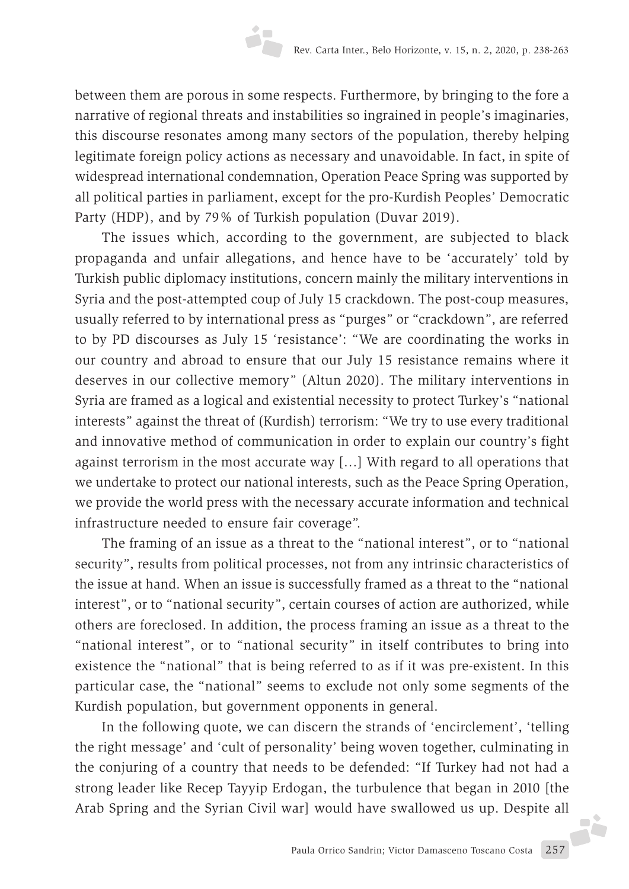between them are porous in some respects. Furthermore, by bringing to the fore a narrative of regional threats and instabilities so ingrained in people's imaginaries, this discourse resonates among many sectors of the population, thereby helping legitimate foreign policy actions as necessary and unavoidable. In fact, in spite of widespread international condemnation, Operation Peace Spring was supported by all political parties in parliament, except for the pro-Kurdish Peoples' Democratic Party (HDP), and by 79% of Turkish population (Duvar 2019).

The issues which, according to the government, are subjected to black propaganda and unfair allegations, and hence have to be 'accurately' told by Turkish public diplomacy institutions, concern mainly the military interventions in Syria and the post-attempted coup of July 15 crackdown. The post-coup measures, usually referred to by international press as "purges" or "crackdown", are referred to by PD discourses as July 15 'resistance': "We are coordinating the works in our country and abroad to ensure that our July 15 resistance remains where it deserves in our collective memory" (Altun 2020). The military interventions in Syria are framed as a logical and existential necessity to protect Turkey's "national interests" against the threat of (Kurdish) terrorism: "We try to use every traditional and innovative method of communication in order to explain our country's fight against terrorism in the most accurate way […] With regard to all operations that we undertake to protect our national interests, such as the Peace Spring Operation, we provide the world press with the necessary accurate information and technical infrastructure needed to ensure fair coverage".

The framing of an issue as a threat to the "national interest", or to "national security", results from political processes, not from any intrinsic characteristics of the issue at hand. When an issue is successfully framed as a threat to the "national interest", or to "national security", certain courses of action are authorized, while others are foreclosed. In addition, the process framing an issue as a threat to the "national interest", or to "national security" in itself contributes to bring into existence the "national" that is being referred to as if it was pre-existent. In this particular case, the "national" seems to exclude not only some segments of the Kurdish population, but government opponents in general.

In the following quote, we can discern the strands of 'encirclement', 'telling the right message' and 'cult of personality' being woven together, culminating in the conjuring of a country that needs to be defended: "If Turkey had not had a strong leader like Recep Tayyip Erdogan, the turbulence that began in 2010 [the Arab Spring and the Syrian Civil war] would have swallowed us up. Despite all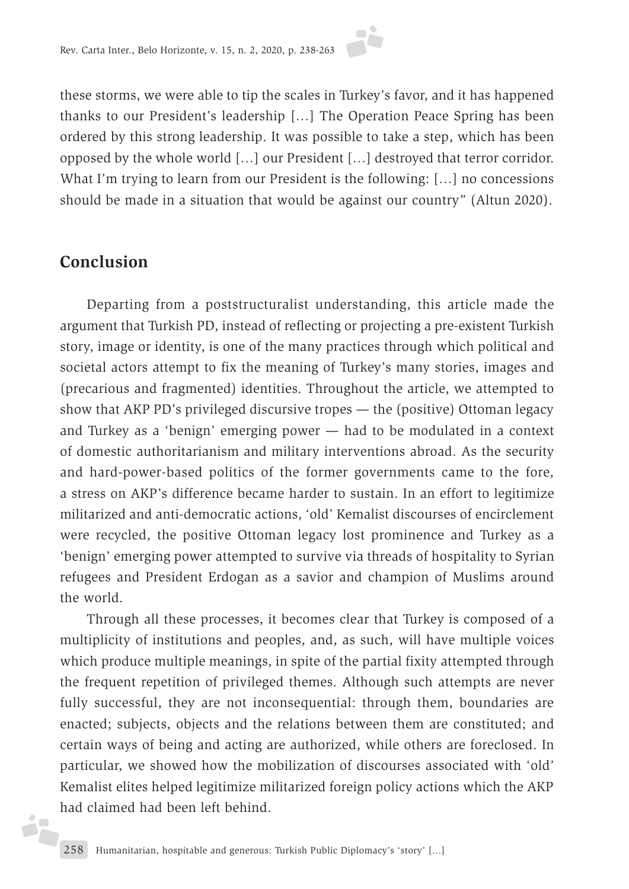these storms, we were able to tip the scales in Turkey's favor, and it has happened thanks to our President's leadership […] The Operation Peace Spring has been ordered by this strong leadership. It was possible to take a step, which has been opposed by the whole world […] our President […] destroyed that terror corridor. What I'm trying to learn from our President is the following: […] no concessions should be made in a situation that would be against our country" (Altun 2020).

#### **Conclusion**

d.

Departing from a poststructuralist understanding, this article made the argument that Turkish PD, instead of reflecting or projecting a pre-existent Turkish story, image or identity, is one of the many practices through which political and societal actors attempt to fix the meaning of Turkey's many stories, images and (precarious and fragmented) identities. Throughout the article, we attempted to show that AKP PD's privileged discursive tropes — the (positive) Ottoman legacy and Turkey as a 'benign' emerging power — had to be modulated in a context of domestic authoritarianism and military interventions abroad. As the security and hard-power-based politics of the former governments came to the fore, a stress on AKP's difference became harder to sustain. In an effort to legitimize militarized and anti-democratic actions, 'old' Kemalist discourses of encirclement were recycled, the positive Ottoman legacy lost prominence and Turkey as a 'benign' emerging power attempted to survive via threads of hospitality to Syrian refugees and President Erdogan as a savior and champion of Muslims around the world.

Through all these processes, it becomes clear that Turkey is composed of a multiplicity of institutions and peoples, and, as such, will have multiple voices which produce multiple meanings, in spite of the partial fixity attempted through the frequent repetition of privileged themes. Although such attempts are never fully successful, they are not inconsequential: through them, boundaries are enacted; subjects, objects and the relations between them are constituted; and certain ways of being and acting are authorized, while others are foreclosed. In particular, we showed how the mobilization of discourses associated with 'old' Kemalist elites helped legitimize militarized foreign policy actions which the AKP had claimed had been left behind.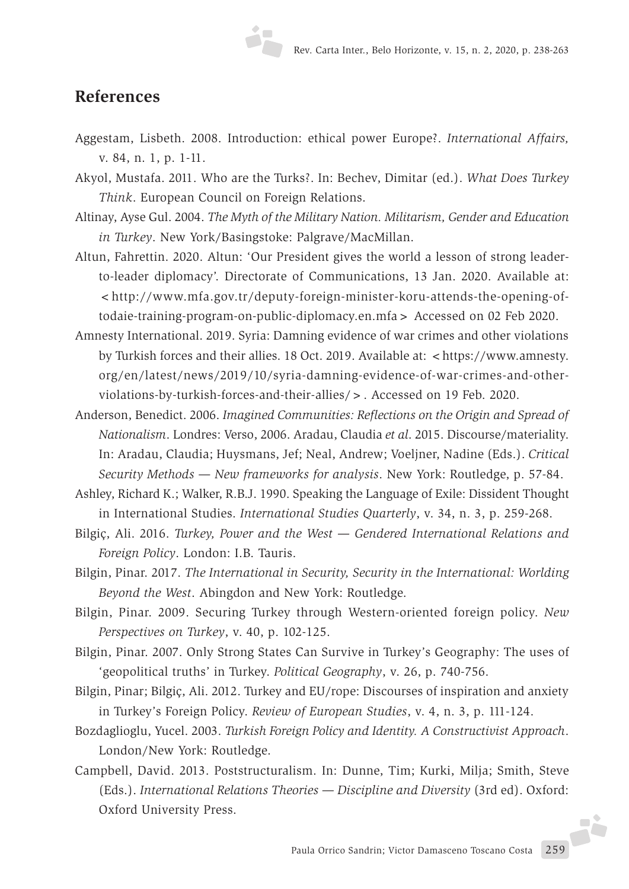### **References**

- Aggestam, Lisbeth. 2008. Introduction: ethical power Europe?. *International Affairs,* v. 84, n. 1, p. 1-11.
- Akyol, Mustafa. 2011. Who are the Turks?. In: Bechev, Dimitar (ed.). *What Does Turkey Think*. European Council on Foreign Relations.
- Altinay, Ayse Gul. 2004. *The Myth of the Military Nation. Militarism, Gender and Education in Turkey*. New York/Basingstoke: Palgrave/MacMillan.
- Altun, Fahrettin. 2020. Altun: 'Our President gives the world a lesson of strong leaderto-leader diplomacy'. Directorate of Communications, 13 Jan. 2020. Available at: <http://www.mfa.gov.tr/deputy-foreign-minister-koru-attends-the-opening-oftodaie-training-program-on-public-diplomacy.en.mfa> Accessed on 02 Feb 2020.
- Amnesty International. 2019. Syria: Damning evidence of war crimes and other violations by Turkish forces and their allies. 18 Oct. 2019. Available at: <https://www.amnesty. org/en/latest/news/2019/10/syria-damning-evidence-of-war-crimes-and-otherviolations-by-turkish-forces-and-their-allies/>. Accessed on 19 Feb. 2020.
- Anderson, Benedict. 2006. *Imagined Communities: Reflections on the Origin and Spread of Nationalism*. Londres: Verso, 2006. Aradau, Claudia *et al*. 2015. Discourse/materiality. In: Aradau, Claudia; Huysmans, Jef; Neal, Andrew; Voeljner, Nadine (Eds.). *Critical Security Methods — New frameworks for analysis*. New York: Routledge, p. 57-84.
- Ashley, Richard K.; Walker, R.B.J. 1990. Speaking the Language of Exile: Dissident Thought in International Studies. *International Studies Quarterly*, v. 34, n. 3, p. 259-268.
- Bilgiç, Ali. 2016. *Turkey, Power and the West Gendered International Relations and Foreign Policy*. London: I.B. Tauris.
- Bilgin, Pinar. 2017. *The International in Security, Security in the International: Worlding Beyond the West*. Abingdon and New York: Routledge.
- Bilgin, Pinar. 2009. Securing Turkey through Western-oriented foreign policy. *New Perspectives on Turkey*, v. 40, p. 102-125.
- Bilgin, Pinar. 2007. Only Strong States Can Survive in Turkey's Geography: The uses of 'geopolitical truths' in Turkey. *Political Geography*, v. 26, p. 740-756.
- Bilgin, Pinar; Bilgiç, Ali. 2012. Turkey and EU/rope: Discourses of inspiration and anxiety in Turkey's Foreign Policy. *Review of European Studies*, v. 4, n. 3, p. 111-124.
- Bozdaglioglu, Yucel. 2003. *Turkish Foreign Policy and Identity. A Constructivist Approach*. London/New York: Routledge.
- Campbell, David. 2013. Poststructuralism. In: Dunne, Tim; Kurki, Milja; Smith, Steve (Eds.). *International Relations Theories — Discipline and Diversity* (3rd ed). Oxford: Oxford University Press.

Paula Orrico Sandrin; Victor Damasceno Toscano Costa 259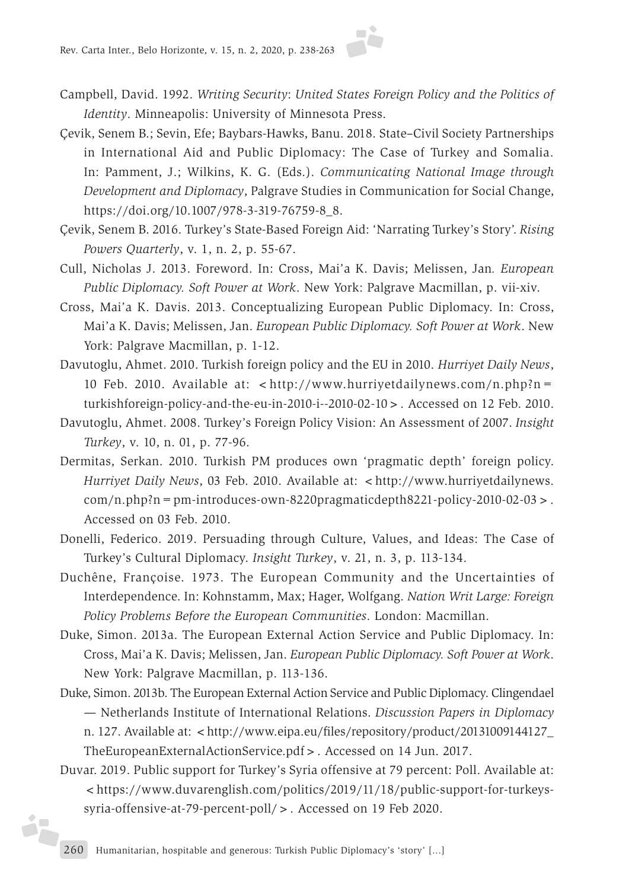- Campbell, David. 1992. *Writing Security*: *United States Foreign Policy and the Politics of Identity*. Minneapolis: University of Minnesota Press.
- Çevik, Senem B.; Sevin, Efe; Baybars-Hawks, Banu. 2018. State–Civil Society Partnerships in International Aid and Public Diplomacy: The Case of Turkey and Somalia. In: Pamment, J.; Wilkins, K. G. (Eds.). *Communicating National Image through Development and Diplomacy*, Palgrave Studies in Communication for Social Change, https://doi.org/10.1007/978-3-319-76759-8\_8.
- Çevik, Senem B. 2016. Turkey's State-Based Foreign Aid: 'Narrating Turkey's Story'. *Rising Powers Quarterly*, v. 1, n. 2, p. 55-67.
- Cull, Nicholas J. 2013. Foreword. In: Cross, Mai'a K. Davis; Melissen, Jan*. European Public Diplomacy. Soft Power at Work*. New York: Palgrave Macmillan, p. vii-xiv.
- Cross, Mai'a K. Davis. 2013. Conceptualizing European Public Diplomacy. In: Cross, Mai'a K. Davis; Melissen, Jan. *European Public Diplomacy. Soft Power at Work*. New York: Palgrave Macmillan, p. 1-12.
- Davutoglu, Ahmet. 2010. Turkish foreign policy and the EU in 2010. *Hurriyet Daily News*, 10 Feb. 2010. Available at:  $\langle h(t) \rangle$ www.hurriyetdailynews.com/n.php?n= turkishforeign-policy-and-the-eu-in-2010-i--2010-02-10>. Accessed on 12 Feb. 2010.
- Davutoglu, Ahmet. 2008. Turkey's Foreign Policy Vision: An Assessment of 2007. *Insight Turkey*, v. 10, n. 01, p. 77-96.
- Dermitas, Serkan. 2010. Turkish PM produces own 'pragmatic depth' foreign policy. *Hurriyet Daily News*, 03 Feb. 2010. Available at: <http://www.hurriyetdailynews.  $com/n.php?n=pm-introduces-own-8220 pragmaticdepth8221-policy-2010-02-03$ . Accessed on 03 Feb. 2010.
- Donelli, Federico. 2019. Persuading through Culture, Values, and Ideas: The Case of Turkey's Cultural Diplomacy. *Insight Turkey*, v. 21, n. 3, p. 113-134.
- Duchêne, Françoise. 1973. The European Community and the Uncertainties of Interdependence. In: Kohnstamm, Max; Hager, Wolfgang. *Nation Writ Large: Foreign Policy Problems Before the European Communities*. London: Macmillan.
- Duke, Simon. 2013a. The European External Action Service and Public Diplomacy. In: Cross, Mai'a K. Davis; Melissen, Jan. *European Public Diplomacy. Soft Power at Work*. New York: Palgrave Macmillan, p. 113-136.
- Duke, Simon. 2013b. The European External Action Service and Public Diplomacy. Clingendael — Netherlands Institute of International Relations. *Discussion Papers in Diplomacy* n. 127. Available at: <http://www.eipa.eu/files/repository/product/20131009144127\_ TheEuropeanExternalActionService.pdf>. Accessed on 14 Jun. 2017.
- Duvar. 2019. Public support for Turkey's Syria offensive at 79 percent: Poll. Available at: <https://www.duvarenglish.com/politics/2019/11/18/public-support-for-turkeyssyria-offensive-at-79-percent-poll/>. Accessed on 19 Feb 2020.

j.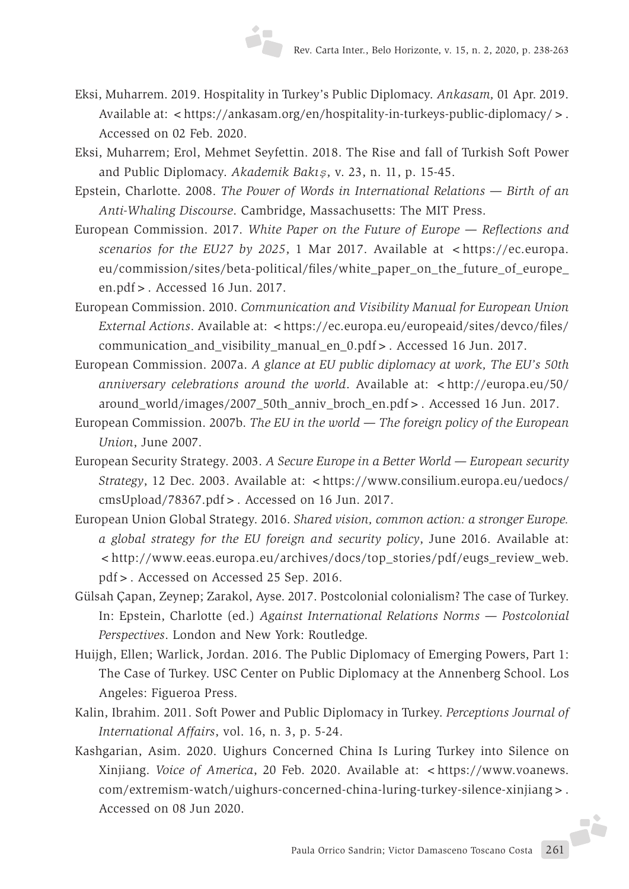- Eksi, Muharrem. 2019. Hospitality in Turkey's Public Diplomacy. *Ankasam,* 01 Apr. 2019. Available at: <https://ankasam.org/en/hospitality-in-turkeys-public-diplomacy/>. Accessed on 02 Feb. 2020.
- Eksi, Muharrem; Erol, Mehmet Seyfettin. 2018. The Rise and fall of Turkish Soft Power and Public Diplomacy. *Akademik Bakış*, v. 23, n. 11, p. 15-45.
- Epstein, Charlotte. 2008. *The Power of Words in International Relations Birth of an Anti-Whaling Discourse*. Cambridge, Massachusetts: The MIT Press.
- European Commission. 2017. *White Paper on the Future of Europe Reflections and scenarios for the EU27 by 2025*, 1 Mar 2017. Available at <https://ec.europa. eu/commission/sites/beta-political/files/white\_paper\_on\_the\_future\_of\_europe\_ en.pdf>. Accessed 16 Jun. 2017.
- European Commission. 2010. *Communication and Visibility Manual for European Union External Actions.* Available at: < https://ec.europa.eu/europeaid/sites/devco/files/ communication\_and\_visibility\_manual\_en\_0.pdf>. Accessed 16 Jun. 2017.
- European Commission. 2007a. *A glance at EU public diplomacy at work, The EU's 50th anniversary celebrations around the world*. Available at: <http://europa.eu/50/ around\_world/images/2007\_50th\_anniv\_broch\_en.pdf>. Accessed 16 Jun. 2017.
- European Commission. 2007b. *The EU in the world The foreign policy of the European Union*, June 2007.
- European Security Strategy. 2003. *A Secure Europe in a Better World European security Strategy*, 12 Dec. 2003. Available at: <https://www.consilium.europa.eu/uedocs/ cmsUpload/78367.pdf>. Accessed on 16 Jun. 2017.
- European Union Global Strategy. 2016. *Shared vision, common action: a stronger Europe. a global strategy for the EU foreign and security policy*, June 2016. Available at: <http://www.eeas.europa.eu/archives/docs/top\_stories/pdf/eugs\_review\_web. pdf>. Accessed on Accessed 25 Sep. 2016.
- Gülsah Çapan, Zeynep; Zarakol, Ayse. 2017. Postcolonial colonialism? The case of Turkey. In: Epstein, Charlotte (ed.) *Against International Relations Norms — Postcolonial Perspectives*. London and New York: Routledge.
- Huijgh, Ellen; Warlick, Jordan. 2016. The Public Diplomacy of Emerging Powers, Part 1: The Case of Turkey. USC Center on Public Diplomacy at the Annenberg School. Los Angeles: Figueroa Press.
- Kalin, Ibrahim. 2011. Soft Power and Public Diplomacy in Turkey. *Perceptions Journal of International Affairs*, vol. 16, n. 3, p. 5-24.
- Kashgarian, Asim. 2020. Uighurs Concerned China Is Luring Turkey into Silence on Xinjiang. *Voice of America*, 20 Feb. 2020. Available at: <https://www.voanews. com/extremism-watch/uighurs-concerned-china-luring-turkey-silence-xinjiang>. Accessed on 08 Jun 2020.

Paula Orrico Sandrin; Victor Damasceno Toscano Costa 261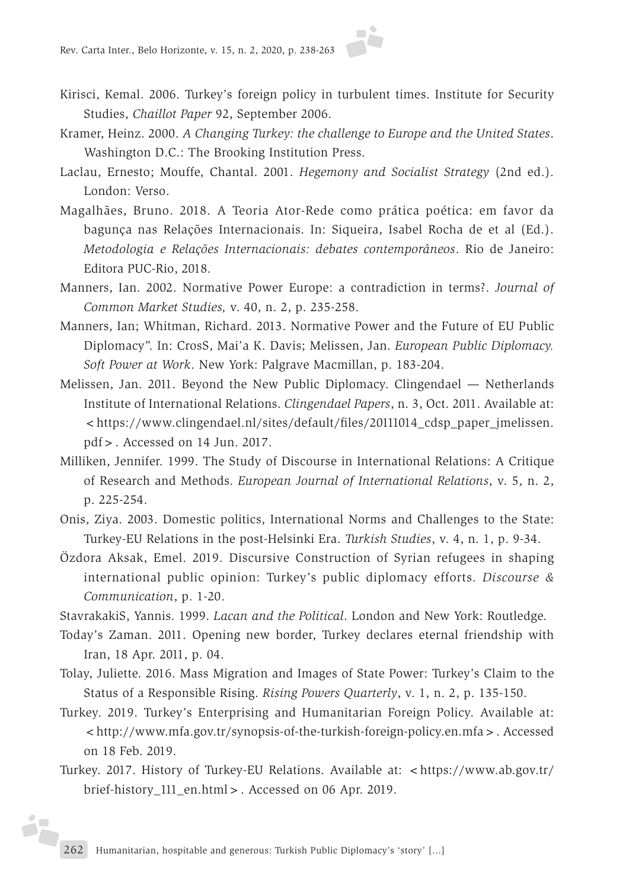- Kirisci, Kemal. 2006. Turkey's foreign policy in turbulent times. Institute for Security Studies, *Chaillot Paper* 92, September 2006.
- Kramer, Heinz. 2000. *A Changing Turkey: the challenge to Europe and the United States*. Washington D.C.: The Brooking Institution Press.
- Laclau, Ernesto; Mouffe, Chantal. 2001. *Hegemony and Socialist Strategy* (2nd ed.). London: Verso.
- Magalhães, Bruno. 2018. A Teoria Ator-Rede como prática poética: em favor da bagunça nas Relações Internacionais. In: Siqueira, Isabel Rocha de et al (Ed.). *Metodologia e Relações Internacionais: debates contemporâneos*. Rio de Janeiro: Editora PUC-Rio, 2018.
- Manners, Ian. 2002. Normative Power Europe: a contradiction in terms?. *Journal of Common Market Studies,* v. 40, n. 2, p. 235-258.
- Manners, Ian; Whitman, Richard. 2013. Normative Power and the Future of EU Public Diplomacy". In: CrosS, Mai'a K. Davis; Melissen, Jan. *European Public Diplomacy. Soft Power at Work*. New York: Palgrave Macmillan, p. 183-204.
- Melissen, Jan. 2011. Beyond the New Public Diplomacy. Clingendael Netherlands Institute of International Relations. *Clingendael Papers*, n. 3, Oct. 2011. Available at: <https://www.clingendael.nl/sites/default/files/20111014\_cdsp\_paper\_jmelissen. pdf>. Accessed on 14 Jun. 2017.
- Milliken, Jennifer. 1999. The Study of Discourse in International Relations: A Critique of Research and Methods. *European Journal of International Relations*, v. 5, n. 2, p. 225-254.
- Onis, Ziya. 2003. Domestic politics, International Norms and Challenges to the State: Turkey-EU Relations in the post-Helsinki Era. *Turkish Studies*, v. 4, n. 1, p. 9-34.
- Özdora Aksak, Emel. 2019. Discursive Construction of Syrian refugees in shaping international public opinion: Turkey's public diplomacy efforts. *Discourse & Communication*, p. 1-20.
- StavrakakiS, Yannis. 1999. *Lacan and the Political*. London and New York: Routledge.
- Today's Zaman. 2011. Opening new border, Turkey declares eternal friendship with Iran, 18 Apr. 2011, p. 04.
- Tolay, Juliette. 2016. Mass Migration and Images of State Power: Turkey's Claim to the Status of a Responsible Rising. *Rising Powers Quarterly*, v. 1, n. 2, p. 135-150.
- Turkey. 2019. Turkey's Enterprising and Humanitarian Foreign Policy. Available at: <http://www.mfa.gov.tr/synopsis-of-the-turkish-foreign-policy.en.mfa>. Accessed on 18 Feb. 2019.
- Turkey. 2017. History of Turkey-EU Relations. Available at: <https://www.ab.gov.tr/ brief-history\_111\_en.html>. Accessed on 06 Apr. 2019.

ib